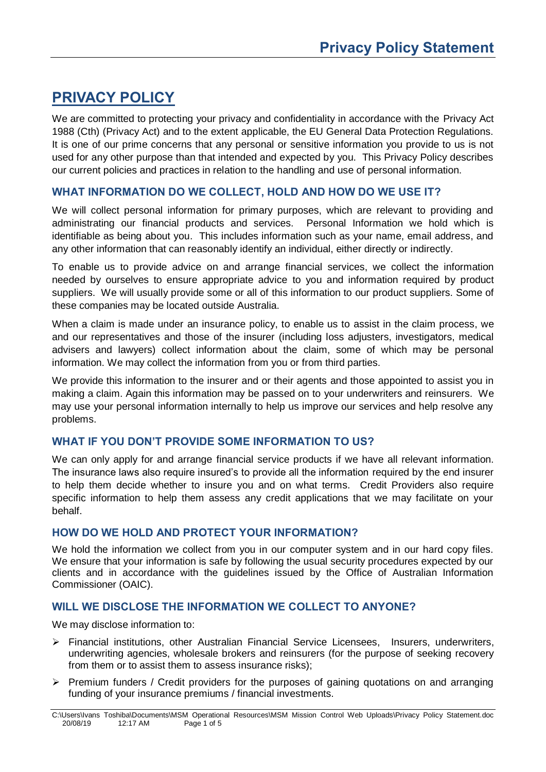# **PRIVACY POLICY**

We are committed to protecting your privacy and confidentiality in accordance with the Privacy Act 1988 (Cth) (Privacy Act) and to the extent applicable, the EU General Data Protection Regulations. It is one of our prime concerns that any personal or sensitive information you provide to us is not used for any other purpose than that intended and expected by you. This Privacy Policy describes our current policies and practices in relation to the handling and use of personal information.

## **WHAT INFORMATION DO WE COLLECT, HOLD AND HOW DO WE USE IT?**

We will collect personal information for primary purposes, which are relevant to providing and administrating our financial products and services. Personal Information we hold which is identifiable as being about you. This includes information such as your name, email address, and any other information that can reasonably identify an individual, either directly or indirectly.

To enable us to provide advice on and arrange financial services, we collect the information needed by ourselves to ensure appropriate advice to you and information required by product suppliers. We will usually provide some or all of this information to our product suppliers. Some of these companies may be located outside Australia.

When a claim is made under an insurance policy, to enable us to assist in the claim process, we and our representatives and those of the insurer (including loss adjusters, investigators, medical advisers and lawyers) collect information about the claim, some of which may be personal information. We may collect the information from you or from third parties.

We provide this information to the insurer and or their agents and those appointed to assist you in making a claim. Again this information may be passed on to your underwriters and reinsurers. We may use your personal information internally to help us improve our services and help resolve any problems.

## **WHAT IF YOU DON'T PROVIDE SOME INFORMATION TO US?**

We can only apply for and arrange financial service products if we have all relevant information. The insurance laws also require insured's to provide all the information required by the end insurer to help them decide whether to insure you and on what terms. Credit Providers also require specific information to help them assess any credit applications that we may facilitate on your behalf.

## **HOW DO WE HOLD AND PROTECT YOUR INFORMATION?**

We hold the information we collect from you in our computer system and in our hard copy files. We ensure that your information is safe by following the usual security procedures expected by our clients and in accordance with the guidelines issued by the Office of Australian Information Commissioner (OAIC).

## **WILL WE DISCLOSE THE INFORMATION WE COLLECT TO ANYONE?**

We may disclose information to:

- ➢ Financial institutions, other Australian Financial Service Licensees, Insurers, underwriters, underwriting agencies, wholesale brokers and reinsurers (for the purpose of seeking recovery from them or to assist them to assess insurance risks);
- $\triangleright$  Premium funders / Credit providers for the purposes of gaining quotations on and arranging funding of your insurance premiums / financial investments.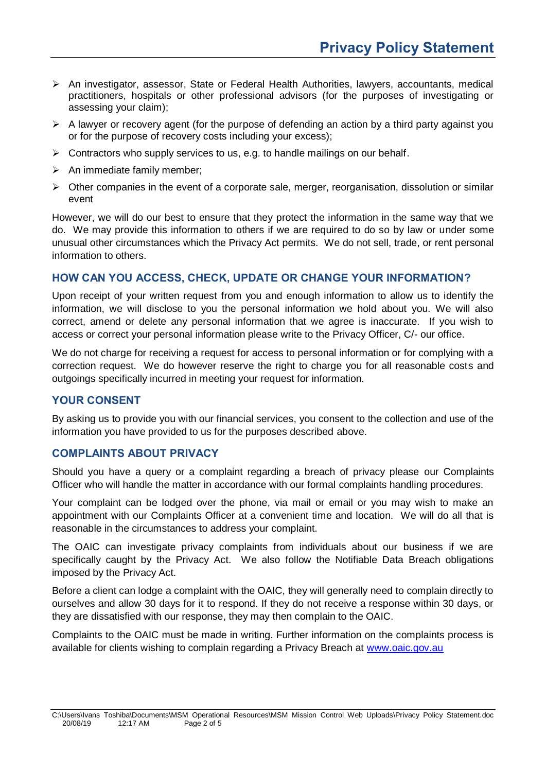- ➢ An investigator, assessor, State or Federal Health Authorities, lawyers, accountants, medical practitioners, hospitals or other professional advisors (for the purposes of investigating or assessing your claim);
- $\triangleright$  A lawyer or recovery agent (for the purpose of defending an action by a third party against you or for the purpose of recovery costs including your excess);
- $\triangleright$  Contractors who supply services to us, e.g. to handle mailings on our behalf.
- $\triangleright$  An immediate family member;
- $\triangleright$  Other companies in the event of a corporate sale, merger, reorganisation, dissolution or similar event

However, we will do our best to ensure that they protect the information in the same way that we do. We may provide this information to others if we are required to do so by law or under some unusual other circumstances which the Privacy Act permits. We do not sell, trade, or rent personal information to others.

#### **HOW CAN YOU ACCESS, CHECK, UPDATE OR CHANGE YOUR INFORMATION?**

Upon receipt of your written request from you and enough information to allow us to identify the information, we will disclose to you the personal information we hold about you. We will also correct, amend or delete any personal information that we agree is inaccurate. If you wish to access or correct your personal information please write to the Privacy Officer, C/- our office.

We do not charge for receiving a request for access to personal information or for complying with a correction request. We do however reserve the right to charge you for all reasonable costs and outgoings specifically incurred in meeting your request for information.

#### **YOUR CONSENT**

By asking us to provide you with our financial services, you consent to the collection and use of the information you have provided to us for the purposes described above.

#### **COMPLAINTS ABOUT PRIVACY**

Should you have a query or a complaint regarding a breach of privacy please our Complaints Officer who will handle the matter in accordance with our formal complaints handling procedures.

Your complaint can be lodged over the phone, via mail or email or you may wish to make an appointment with our Complaints Officer at a convenient time and location. We will do all that is reasonable in the circumstances to address your complaint.

The OAIC can investigate privacy complaints from individuals about our business if we are specifically caught by the [Privacy Act.](http://www.comlaw.gov.au/Series/C2004A03712) We also follow the Notifiable Data Breach obligations imposed by the Privacy Act.

Before a client can lodge a complaint with the OAIC, they will generally need to complain directly to ourselves and allow 30 days for it to respond. If they do not receive a response within 30 days, or they are dissatisfied with our response, they may then complain to the OAIC.

Complaints to the OAIC must be made in writing. Further information on the complaints process is available for clients wishing to complain regarding a Privacy Breach at [www.oaic.gov.au](http://www.oaic.gov.au/)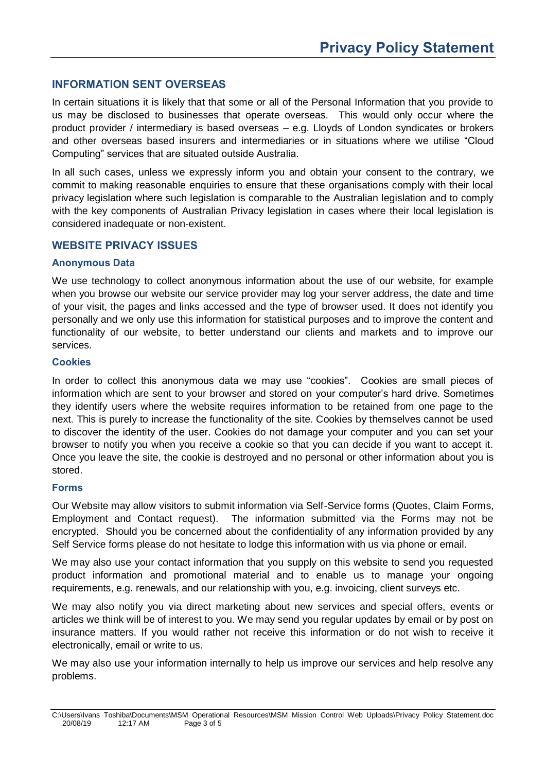## **INFORMATION SENT OVERSEAS**

In certain situations it is likely that that some or all of the Personal Information that you provide to us may be disclosed to businesses that operate overseas. This would only occur where the product provider / intermediary is based overseas – e.g. Lloyds of London syndicates or brokers and other overseas based insurers and intermediaries or in situations where we utilise "Cloud Computing" services that are situated outside Australia.

In all such cases, unless we expressly inform you and obtain your consent to the contrary, we commit to making reasonable enquiries to ensure that these organisations comply with their local privacy legislation where such legislation is comparable to the Australian legislation and to comply with the key components of Australian Privacy legislation in cases where their local legislation is considered inadequate or non-existent.

#### **WEBSITE PRIVACY ISSUES**

#### **Anonymous Data**

We use technology to collect anonymous information about the use of our website, for example when you browse our website our service provider may log your server address, the date and time of your visit, the pages and links accessed and the type of browser used. It does not identify you personally and we only use this information for statistical purposes and to improve the content and functionality of our website, to better understand our clients and markets and to improve our services.

#### **Cookies**

In order to collect this anonymous data we may use "cookies". Cookies are small pieces of information which are sent to your browser and stored on your computer's hard drive. Sometimes they identify users where the website requires information to be retained from one page to the next. This is purely to increase the functionality of the site. Cookies by themselves cannot be used to discover the identity of the user. Cookies do not damage your computer and you can set your browser to notify you when you receive a cookie so that you can decide if you want to accept it. Once you leave the site, the cookie is destroyed and no personal or other information about you is stored.

#### **Forms**

Our Website may allow visitors to submit information via Self-Service forms (Quotes, Claim Forms, Employment and Contact request). The information submitted via the Forms may not be encrypted. Should you be concerned about the confidentiality of any information provided by any Self Service forms please do not hesitate to lodge this information with us via phone or email.

We may also use your contact information that you supply on this website to send you requested product information and promotional material and to enable us to manage your ongoing requirements, e.g. renewals, and our relationship with you, e.g. invoicing, client surveys etc.

We may also notify you via direct marketing about new services and special offers, events or articles we think will be of interest to you. We may send you regular updates by email or by post on insurance matters. If you would rather not receive this information or do not wish to receive it electronically, email or write to us.

We may also use your information internally to help us improve our services and help resolve any problems.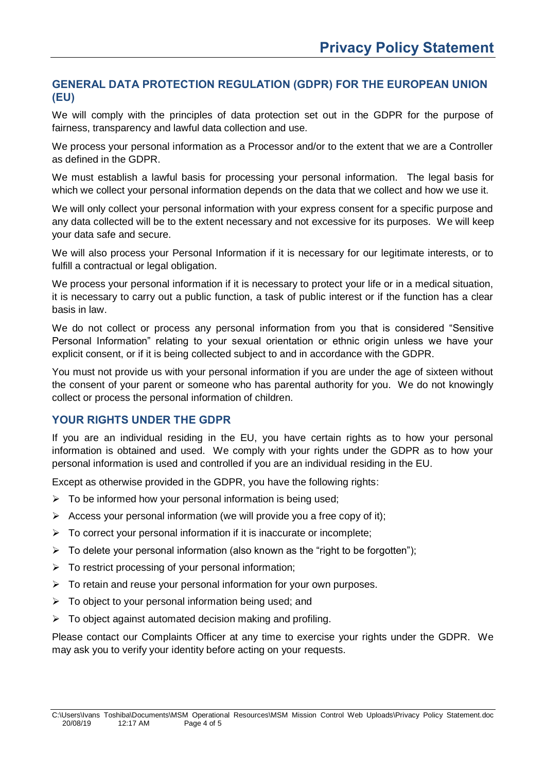# **GENERAL DATA PROTECTION REGULATION (GDPR) FOR THE EUROPEAN UNION (EU)**

We will comply with the principles of data protection set out in the GDPR for the purpose of fairness, transparency and lawful data collection and use.

We process your personal information as a Processor and/or to the extent that we are a Controller as defined in the GDPR.

We must establish a lawful basis for processing your personal information. The legal basis for which we collect your personal information depends on the data that we collect and how we use it.

We will only collect your personal information with your express consent for a specific purpose and any data collected will be to the extent necessary and not excessive for its purposes. We will keep your data safe and secure.

We will also process your Personal Information if it is necessary for our legitimate interests, or to fulfill a contractual or legal obligation.

We process your personal information if it is necessary to protect your life or in a medical situation, it is necessary to carry out a public function, a task of public interest or if the function has a clear basis in law.

We do not collect or process any personal information from you that is considered "Sensitive" Personal Information" relating to your sexual orientation or ethnic origin unless we have your explicit consent, or if it is being collected subject to and in accordance with the GDPR.

You must not provide us with your personal information if you are under the age of sixteen without the consent of your parent or someone who has parental authority for you. We do not knowingly collect or process the personal information of children.

# **YOUR RIGHTS UNDER THE GDPR**

If you are an individual residing in the EU, you have certain rights as to how your personal information is obtained and used. We comply with your rights under the GDPR as to how your personal information is used and controlled if you are an individual residing in the EU.

Except as otherwise provided in the GDPR, you have the following rights:

- $\triangleright$  To be informed how your personal information is being used;
- $\triangleright$  Access your personal information (we will provide you a free copy of it);
- $\triangleright$  To correct your personal information if it is inaccurate or incomplete;
- $\triangleright$  To delete your personal information (also known as the "right to be forgotten");
- ➢ To restrict processing of your personal information;
- $\triangleright$  To retain and reuse your personal information for your own purposes.
- $\triangleright$  To object to your personal information being used; and
- $\triangleright$  To object against automated decision making and profiling.

Please contact our Complaints Officer at any time to exercise your rights under the GDPR. We may ask you to verify your identity before acting on your requests.